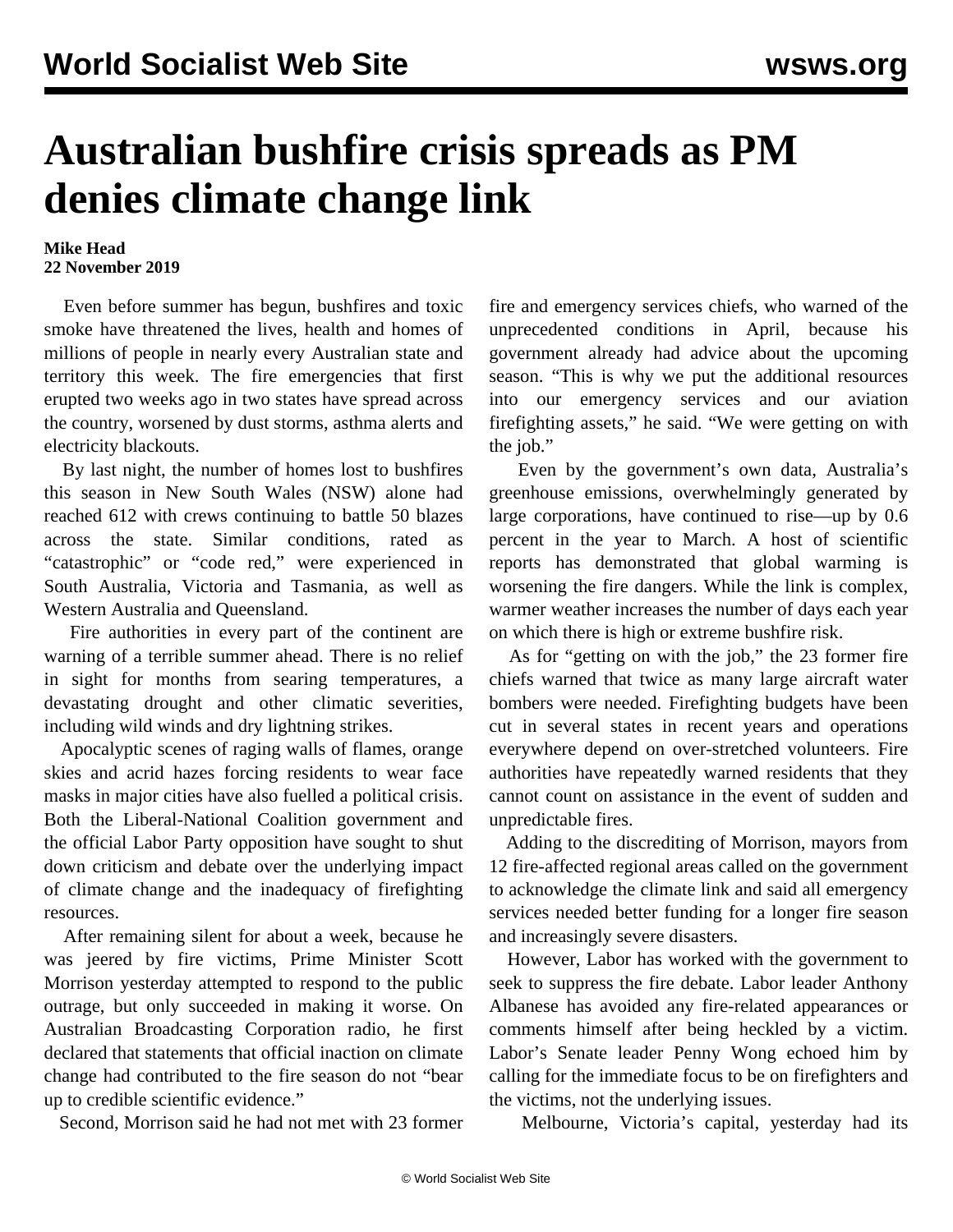## **Australian bushfire crisis spreads as PM denies climate change link**

## **Mike Head 22 November 2019**

 Even before summer has begun, bushfires and toxic smoke have threatened the lives, health and homes of millions of people in nearly every Australian state and territory this week. The fire emergencies that first erupted two weeks ago in two states have spread across the country, worsened by dust storms, asthma alerts and electricity blackouts.

 By last night, the number of homes lost to bushfires this season in New South Wales (NSW) alone had reached 612 with crews continuing to battle 50 blazes across the state. Similar conditions, rated as "catastrophic" or "code red," were experienced in South Australia, Victoria and Tasmania, as well as Western Australia and Queensland.

 Fire authorities in every part of the continent are warning of a terrible summer ahead. There is no relief in sight for months from searing temperatures, a devastating drought and other climatic severities, including wild winds and dry lightning strikes.

 Apocalyptic scenes of raging walls of flames, orange skies and acrid hazes forcing residents to wear face masks in major cities have also fuelled a political crisis. Both the Liberal-National Coalition government and the official Labor Party opposition have sought to shut down criticism and debate over the underlying impact of climate change and the inadequacy of firefighting resources.

 After remaining silent for about a week, because he was jeered by fire victims, Prime Minister Scott Morrison yesterday attempted to respond to the public outrage, but only succeeded in making it worse. On Australian Broadcasting Corporation radio, he first declared that statements that official inaction on climate change had contributed to the fire season do not "bear up to credible scientific evidence."

Second, Morrison said he had not met with 23 former

fire and emergency services chiefs, who warned of the unprecedented conditions in April, because his government already had advice about the upcoming season. "This is why we put the additional resources into our emergency services and our aviation firefighting assets," he said. "We were getting on with the job."

 Even by the government's own data, Australia's greenhouse emissions, overwhelmingly generated by large corporations, have continued to rise—up by 0.6 percent in the year to March. A host of scientific reports has demonstrated that global warming is worsening the fire dangers. While the link is complex, warmer weather increases the number of days each year on which there is high or extreme bushfire risk.

 As for "getting on with the job," the 23 former fire chiefs warned that twice as many large aircraft water bombers were needed. Firefighting budgets have been cut in several states in recent years and operations everywhere depend on over-stretched volunteers. Fire authorities have repeatedly warned residents that they cannot count on assistance in the event of sudden and unpredictable fires.

 Adding to the discrediting of Morrison, mayors from 12 fire-affected regional areas called on the government to acknowledge the climate link and said all emergency services needed better funding for a longer fire season and increasingly severe disasters.

 However, Labor has worked with the government to seek to suppress the fire debate. Labor leader Anthony Albanese has avoided any fire-related appearances or comments himself after being heckled by a victim. Labor's Senate leader Penny Wong echoed him by calling for the immediate focus to be on firefighters and the victims, not the underlying issues.

Melbourne, Victoria's capital, yesterday had its